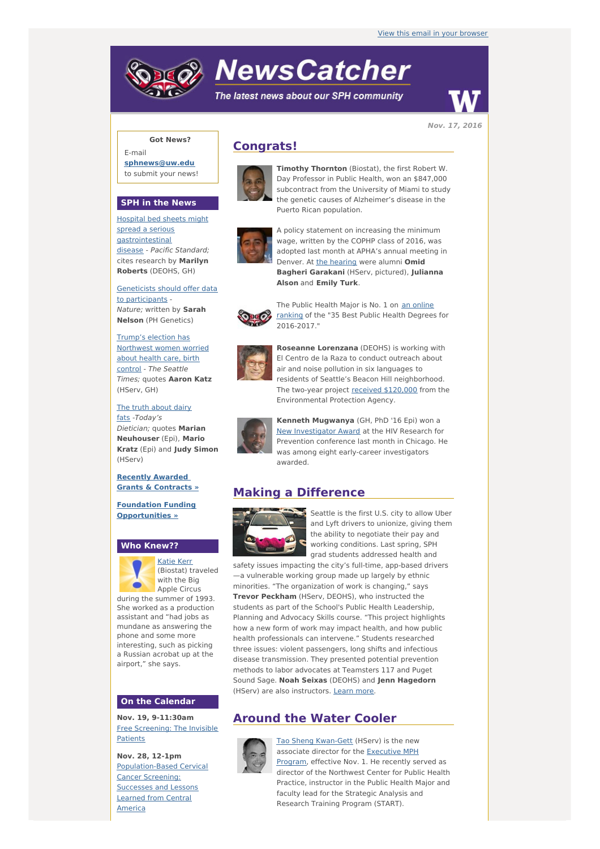# **NewsCatcher**

The latest news about our SPH community



**Nov. 17, 2016**

### **Got News?**

E-mail **[sphnews@uw.edu](mailto:sphnews@uw.edu)** to submit your news!

#### **SPH in the News**

Hospital bed sheets might spread a serious [gastrointestinal](http://engage.washington.edu/site/R?i=BP6mg9tdQHmQ_TF0et71tQ) disease - Pacific Standard; cites research by **Marilyn Roberts** (DEOHS, GH)

[Geneticists](http://engage.washington.edu/site/R?i=BGFnvujrRm_9moVIM4fHQQ) should offer data to participants - Nature; written by **Sarah Nelson** (PH Genetics)

Trump's election has [Northwest](http://engage.washington.edu/site/R?i=lm1rGozQ_48C7gwePMbrkw) women worried about health care, birth control - The Seattle Times; quotes **Aaron Katz** (HServ, GH)

The truth about dairy fats -[Today's](http://engage.washington.edu/site/R?i=5hsqBNGCzewjwFjiXnccmA) Dietician; quotes **Marian Neuhouser** (Epi), **Mario Kratz** (Epi) and **Judy Simon** (HServ)

**Recently Awarded Grants & [Contracts](http://engage.washington.edu/site/R?i=wcb6mA_ZZZeZlVV_z0kOpw) »**

**Foundation Funding [Opportunities](http://engage.washington.edu/site/R?i=k2onDpTaivlAcbQLotE6VA) »**

#### **Who Knew??**



[Katie](http://engage.washington.edu/site/R?i=KLo4Yz_7gl7NNd2f6q124Q) Kerr (Biostat) traveled with the Big Apple Circus

during the summer of 1993. She worked as a production assistant and "had jobs as mundane as answering the phone and some more interesting, such as picking a Russian acrobat up at the airport," she says.

#### **On the Calendar**

**Nov. 19, 9-11:30am** Free [Screening:](http://engage.washington.edu/site/R?i=9MBsGNncgaxnPj7cZN2ZQA) The Invisible Patients

**Nov. 28, 12-1pm** [Population-Based](http://engage.washington.edu/site/R?i=VlN8lKsVFQ9TGdFw7SoQUQ) Cervical Cancer Screening: Successes and Lessons Learned from Central America

# **Congrats!**



**Timothy Thornton** (Biostat), the first Robert W. Day Professor in Public Health, won an \$847,000 subcontract from the University of Miami to study the genetic causes of Alzheimer's disease in the Puerto Rican population.



A policy statement on increasing the minimum wage, written by the COPHP class of 2016, was adopted last month at APHA's annual meeting in Denver. At the [hearing](http://engage.washington.edu/site/R?i=QIXv9J2kH5WrLk91znj7uQ) were alumni **Omid Bagheri Garakani** (HServ, pictured), **Julianna Alson** and **Emily Turk**.



The Public Health Major is No. 1 on an online [ranking](http://engage.washington.edu/site/R?i=rZJ1DZehSmsGfWWseKwxpQ) of the "35 Best Public Health Degrees for 2016-2017."



**Roseanne Lorenzana** (DEOHS) is working with El Centro de la Raza to conduct outreach about air and noise pollution in six languages to residents of Seattle's Beacon Hill neighborhood. The two-year project received [\\$120,000](http://engage.washington.edu/site/R?i=_KImNgdMyMfKIHo-aYJ-Og) from the Environmental Protection Agency.



**Kenneth Mugwanya** (GH, PhD '16 Epi) won a New [Investigator](http://engage.washington.edu/site/R?i=N9oWbvMBTycG5IHZhnVjzw) Award at the HIV Research for Prevention conference last month in Chicago. He was among eight early-career investigators awarded.

# **Making a Difference**



Seattle is the first U.S. city to allow Uber and Lyft drivers to unionize, giving them the ability to negotiate their pay and working conditions. Last spring, SPH grad students addressed health and

safety issues impacting the city's full-time, app-based drivers —a vulnerable working group made up largely by ethnic minorities. "The organization of work is changing," says **Trevor Peckham** (HServ, DEOHS), who instructed the students as part of the School's Public Health Leadership, Planning and Advocacy Skills course. "This project highlights how a new form of work may impact health, and how public health professionals can intervene." Students researched three issues: violent passengers, long shifts and infectious disease transmission. They presented potential prevention methods to labor advocates at Teamsters 117 and Puget Sound Sage. **Noah Seixas** (DEOHS) and **Jenn Hagedorn** (HServ) are also instructors. [Learn](http://engage.washington.edu/site/R?i=ZFSNewjYp2TSuRz9MyRtow) more.

# **Around the Water Cooler**



Tao Sheng [Kwan-Gett](http://engage.washington.edu/site/R?i=AnkQwkzrarfTS6owQ-fsyg) (HServ) is the new associate director for the [Executive](http://engage.washington.edu/site/R?i=6bj8lUwdkxmIty5BI8F6Cw) MPH Program, effective Nov. 1. He recently served as director of the Northwest Center for Public Health Practice, instructor in the Public Health Major and faculty lead for the Strategic Analysis and Research Training Program (START).